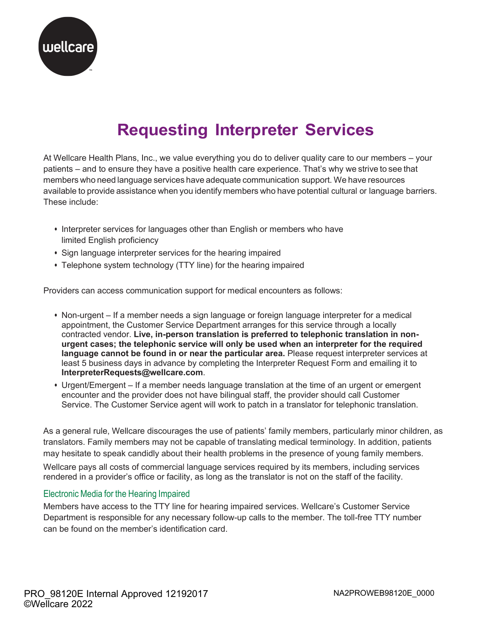

## **Requesting Interpreter Services**

At Wellcare Health Plans, Inc., we value everything you do to deliver quality care to our members – your patients – and to ensure they have a positive health care experience. That's why we strive to see that members who need language services have adequate communication support. We have resources available to provide assistance when you identify members who have potential cultural or language barriers. These include:

- Interpreter services for languages other than English or members who have limited English proficiency
- Sign language interpreter services for the hearing impaired
- Telephone system technology (TTY line) for the hearing impaired

Providers can access communication support for medical encounters as follows:

- • Non-urgent If a member needs a sign language or foreign language interpreter for a medical appointment, the Customer Service Department arranges for this service through a locally  contracted vendor. **Live, in-person translation is preferred to telephonic translation in non- urgent cases; the telephonic service will only be used when an interpreter for the required**  language cannot be found in or near the particular area. Please request interpreter services at least 5 business days in advance by completing the Interpreter Request Form and emailing it to **[InterpreterRequests@wellcare.com](mailto:InterpreterRequests@wellcare.com)**.
- • Urgent/Emergent If a member needs language translation at the time of an urgent or emergent encounter and the provider does not have bilingual staff, the provider should call Customer Service. The Customer Service agent will work to patch in a translator for telephonic translation.

As a general rule, Wellcare discourages the use of patients' family members, particularly minor children, as translators. Family members may not be capable of translating medical terminology. In addition, patients may hesitate to speak candidly about their health problems in the presence of young family members.

Wellcare pays all costs of commercial language services required by its members, including services rendered in a provider's office or facility, as long as the translator is not on the staff of the facility.

## Electronic Media for the Hearing Impaired

Members have access to the TTY line for hearing impaired services. Wellcare's Customer Service Department is responsible for any necessary follow-up calls to the member. The toll-free TTY number can be found on the member's identification card.